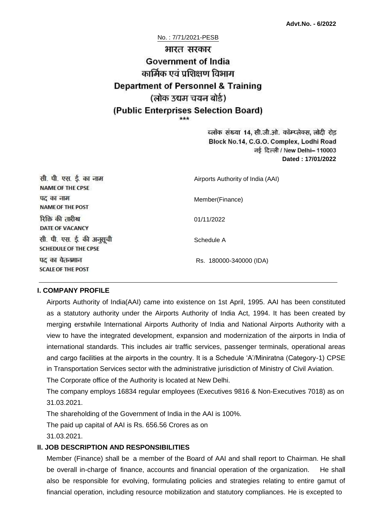# No. : 7/71/2021-PESB भारत सरकार **Government of India** कार्मिक एवं प्रशिक्षण विभाग **Department of Personnel & Training** (लोक उद्यम चयन बोर्ड) (Public Enterprises Selection Board)

ब्लॉक संख्या 14, सी.जी.ओ. कॉम्प्लेक्स, लोदी रोड Block No.14, C.G.O. Complex, Lodhi Road नई दिल्ली / New Delhi- 110003 **Dated : 17/01/2022**

| सी. पी. एस. ई. का नाम<br><b>NAME OF THE CPSE</b>         | Airports Authority of India (AAI) |
|----------------------------------------------------------|-----------------------------------|
| पद का नाम<br><b>NAME OF THE POST</b>                     | Member(Finance)                   |
| रिक्ति की तारीख<br>DATE OF VACANCY                       | 01/11/2022                        |
| सी. पी. एस. ई. की अनुसूची<br><b>SCHEDULE OF THE CPSE</b> | Schedule A                        |
| पद का वेतनमान<br><b>SCALE OF THE POST</b>                | Rs. 180000-340000 (IDA)           |

#### **I. COMPANY PROFILE**

Airports Authority of India(AAI) came into existence on 1st April, 1995. AAI has been constituted as a statutory authority under the Airports Authority of India Act, 1994. It has been created by merging erstwhile International Airports Authority of India and National Airports Authority with a view to have the integrated development, expansion and modernization of the airports in India of international standards. This includes air traffic services, passenger terminals, operational areas and cargo facilities at the airports in the country. It is a Schedule 'A'/Miniratna (Category-1) CPSE in Transportation Services sector with the administrative jurisdiction of Ministry of Civil Aviation.

The Corporate office of the Authority is located at New Delhi.

The company employs 16834 regular employees (Executives 9816 & Non-Executives 7018) as on 31.03.2021.

The shareholding of the Government of India in the AAI is 100%.

The paid up capital of AAI is Rs. 656.56 Crores as on

31.03.2021.

#### **II. JOB DESCRIPTION AND RESPONSIBILITIES**

Member (Finance) shall be a member of the Board of AAI and shall report to Chairman. He shall be overall in-charge of finance, accounts and financial operation of the organization. He shall also be responsible for evolving, formulating policies and strategies relating to entire gamut of financial operation, including resource mobilization and statutory compliances. He is excepted to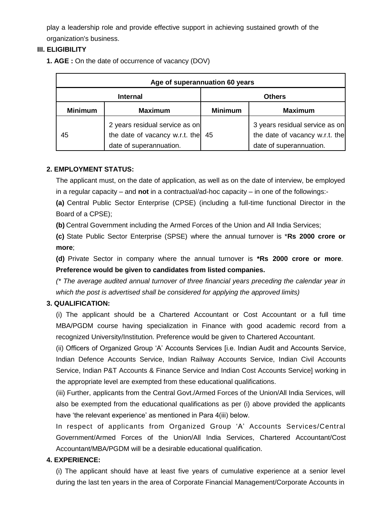play a leadership role and provide effective support in achieving sustained growth of the organization's business.

## **III. ELIGIBILITY**

**1. AGE :** On the date of occurrence of vacancy (DOV)

| Age of superannuation 60 years |                                                                                             |                |                                                                                             |
|--------------------------------|---------------------------------------------------------------------------------------------|----------------|---------------------------------------------------------------------------------------------|
| <b>Internal</b>                |                                                                                             | <b>Others</b>  |                                                                                             |
| <b>Minimum</b>                 | <b>Maximum</b>                                                                              | <b>Minimum</b> | <b>Maximum</b>                                                                              |
| 45                             | 2 years residual service as on<br>the date of vacancy w.r.t. the<br>date of superannuation. | 45             | 3 years residual service as on<br>the date of vacancy w.r.t. the<br>date of superannuation. |

## **2. EMPLOYMENT STATUS:**

The applicant must, on the date of application, as well as on the date of interview, be employed in a regular capacity – and **not** in a contractual/ad-hoc capacity – in one of the followings:-

**(a)** Central Public Sector Enterprise (CPSE) (including a full-time functional Director in the Board of a CPSE);

**(b)** Central Government including the Armed Forces of the Union and All India Services;

**(c)** State Public Sector Enterprise (SPSE) where the annual turnover is \***Rs 2000 crore or more**;

**(d)** Private Sector in company where the annual turnover is **\*Rs 2000 crore or more**. **Preference would be given to candidates from listed companies.**

*(\* The average audited annual turnover of three financial years preceding the calendar year in which the post is advertised shall be considered for applying the approved limits)*

## **3. QUALIFICATION:**

(i) The applicant should be a Chartered Accountant or Cost Accountant or a full time MBA/PGDM course having specialization in Finance with good academic record from a recognized University/Institution. Preference would be given to Chartered Accountant.

(ii) Officers of Organized Group 'A' Accounts Services [i.e. Indian Audit and Accounts Service, Indian Defence Accounts Service, Indian Railway Accounts Service, Indian Civil Accounts Service, Indian P&T Accounts & Finance Service and Indian Cost Accounts Service] working in the appropriate level are exempted from these educational qualifications.

(iii) Further, applicants from the Central Govt./Armed Forces of the Union/All India Services, will also be exempted from the educational qualifications as per (i) above provided the applicants have 'the relevant experience' as mentioned in Para 4(iii) below.

In respect of applicants from Organized Group 'A' Accounts Services/Central Government/Armed Forces of the Union/All India Services, Chartered Accountant/Cost Accountant/MBA/PGDM will be a desirable educational qualification.

## **4. EXPERIENCE:**

(i) The applicant should have at least five years of cumulative experience at a senior level during the last ten years in the area of Corporate Financial Management/Corporate Accounts in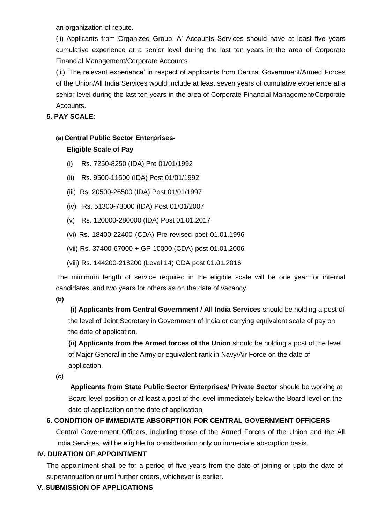an organization of repute.

(ii) Applicants from Organized Group 'A' Accounts Services should have at least five years cumulative experience at a senior level during the last ten years in the area of Corporate Financial Management/Corporate Accounts.

(iii) 'The relevant experience' in respect of applicants from Central Government/Armed Forces of the Union/All India Services would include at least seven years of cumulative experience at a senior level during the last ten years in the area of Corporate Financial Management/Corporate Accounts.

## **5. PAY SCALE:**

# **(a)Central Public Sector Enterprises-**

## **Eligible Scale of Pay**

- (i) Rs. 7250-8250 (IDA) Pre 01/01/1992
- (ii) Rs. 9500-11500 (IDA) Post 01/01/1992
- (iii) Rs. 20500-26500 (IDA) Post 01/01/1997
- (iv) Rs. 51300-73000 (IDA) Post 01/01/2007
- (v) Rs. 120000-280000 (IDA) Post 01.01.2017
- (vi) Rs. 18400-22400 (CDA) Pre-revised post 01.01.1996
- (vii) Rs. 37400-67000 + GP 10000 (CDA) post 01.01.2006
- (viii) Rs. 144200-218200 (Level 14) CDA post 01.01.2016

The minimum length of service required in the eligible scale will be one year for internal candidates, and two years for others as on the date of vacancy.

**(b)**

**(i) Applicants from Central Government / All India Services** should be holding a post of the level of Joint Secretary in Government of India or carrying equivalent scale of pay on the date of application.

**(ii) Applicants from the Armed forces of the Union** should be holding a post of the level of Major General in the Army or equivalent rank in Navy/Air Force on the date of application.

**(c)**

**Applicants from State Public Sector Enterprises/ Private Sector** should be working at Board level position or at least a post of the level immediately below the Board level on the date of application on the date of application.

## **6. CONDITION OF IMMEDIATE ABSORPTION FOR CENTRAL GOVERNMENT OFFICERS**

Central Government Officers, including those of the Armed Forces of the Union and the All India Services, will be eligible for consideration only on immediate absorption basis.

## **IV. DURATION OF APPOINTMENT**

The appointment shall be for a period of five years from the date of joining or upto the date of superannuation or until further orders, whichever is earlier.

## **V. SUBMISSION OF APPLICATIONS**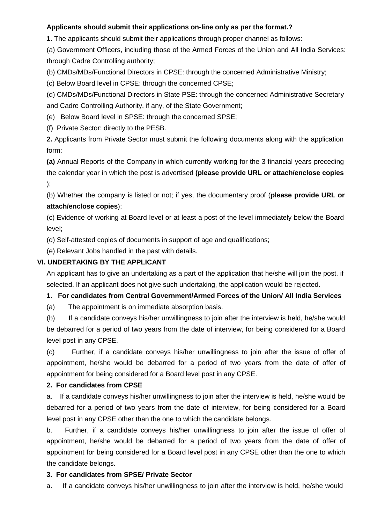## **Applicants should submit their applications on-line only as per the format.?**

**1.** The applicants should submit their applications through proper channel as follows:

(a) Government Officers, including those of the Armed Forces of the Union and All India Services: through Cadre Controlling authority;

(b) CMDs/MDs/Functional Directors in CPSE: through the concerned Administrative Ministry;

(c) Below Board level in CPSE: through the concerned CPSE;

(d) CMDs/MDs/Functional Directors in State PSE: through the concerned Administrative Secretary and Cadre Controlling Authority, if any, of the State Government;

(e) Below Board level in SPSE: through the concerned SPSE;

(f) Private Sector: directly to the PESB.

**2.** Applicants from Private Sector must submit the following documents along with the application form:

**(a)** Annual Reports of the Company in which currently working for the 3 financial years preceding the calendar year in which the post is advertised **(please provide URL or attach/enclose copies** );

(b) Whether the company is listed or not; if yes, the documentary proof (**please provide URL or attach/enclose copies**);

(c) Evidence of working at Board level or at least a post of the level immediately below the Board level;

(d) Self-attested copies of documents in support of age and qualifications;

(e) Relevant Jobs handled in the past with details.

## **VI. UNDERTAKING BY THE APPLICANT**

An applicant has to give an undertaking as a part of the application that he/she will join the post, if selected. If an applicant does not give such undertaking, the application would be rejected.

## **1. For candidates from Central Government/Armed Forces of the Union/ All India Services**

(a) The appointment is on immediate absorption basis.

(b) If a candidate conveys his/her unwillingness to join after the interview is held, he/she would be debarred for a period of two years from the date of interview, for being considered for a Board level post in any CPSE.

(c) Further, if a candidate conveys his/her unwillingness to join after the issue of offer of appointment, he/she would be debarred for a period of two years from the date of offer of appointment for being considered for a Board level post in any CPSE.

## **2. For candidates from CPSE**

a. If a candidate conveys his/her unwillingness to join after the interview is held, he/she would be debarred for a period of two years from the date of interview, for being considered for a Board level post in any CPSE other than the one to which the candidate belongs.

b. Further, if a candidate conveys his/her unwillingness to join after the issue of offer of appointment, he/she would be debarred for a period of two years from the date of offer of appointment for being considered for a Board level post in any CPSE other than the one to which the candidate belongs.

## **3. For candidates from SPSE/ Private Sector**

a. If a candidate conveys his/her unwillingness to join after the interview is held, he/she would